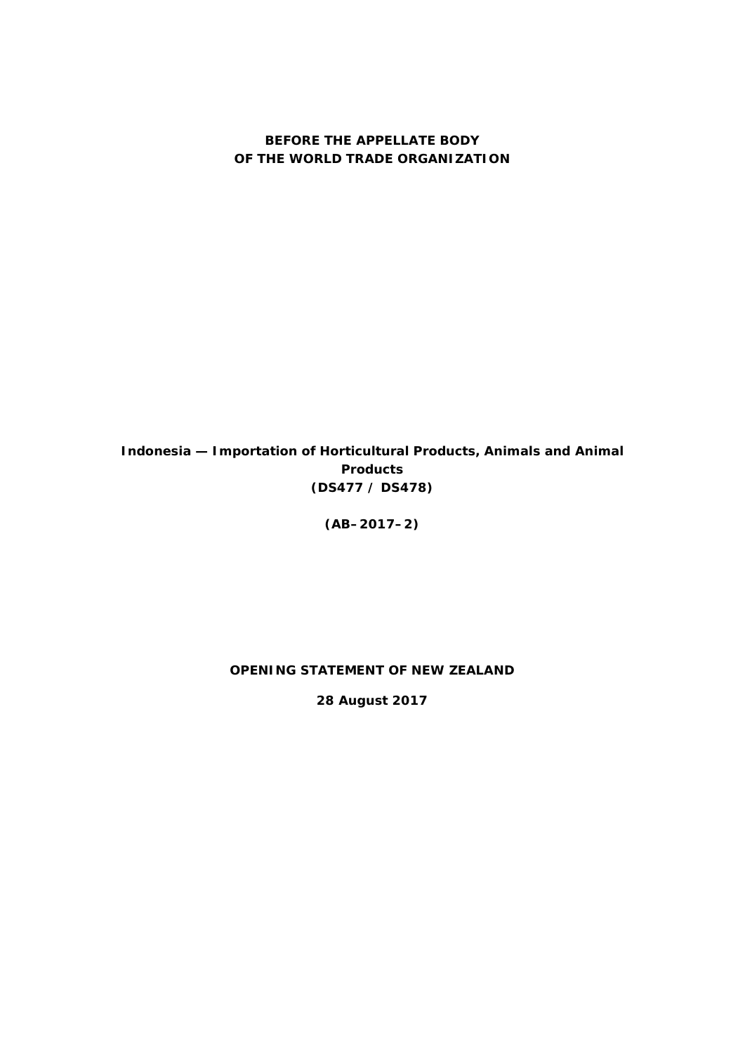#### **BEFORE THE APPELLATE BODY OF THE WORLD TRADE ORGANIZATION**

*Indonesia — Importation of Horticultural Products, Animals and Animal Products* **(DS477 / DS478)**

**(AB–2017–2)**

#### **OPENING STATEMENT OF NEW ZEALAND**

**28 August 2017**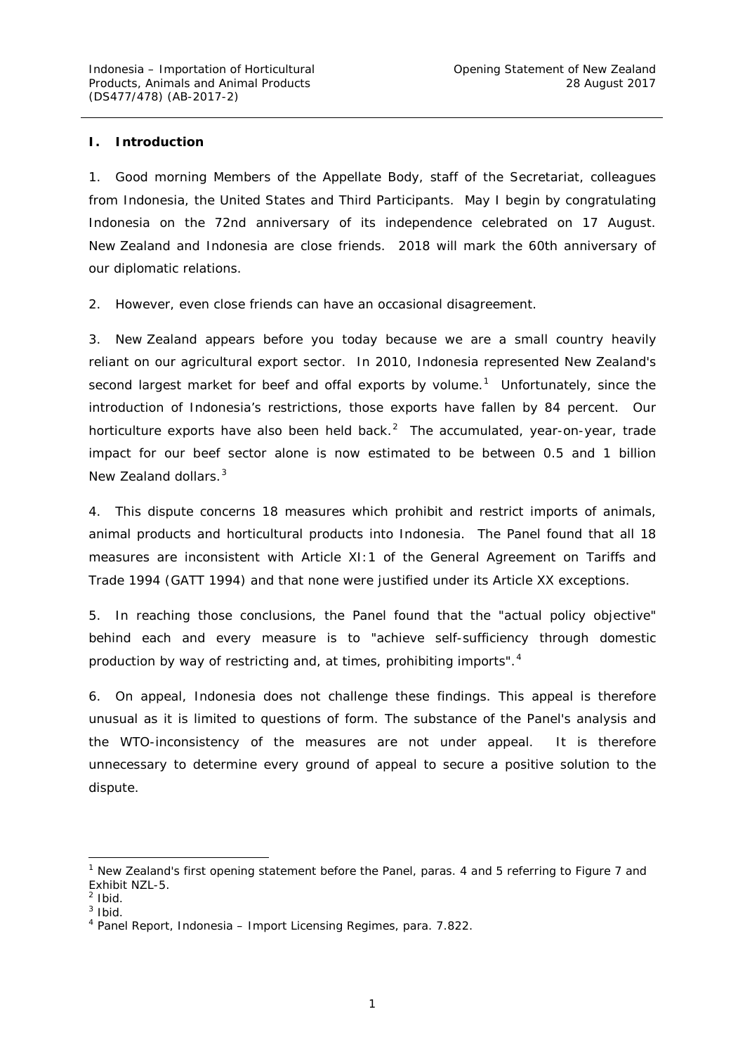#### *I. Introduction*

1. Good morning Members of the Appellate Body, staff of the Secretariat, colleagues from Indonesia, the United States and Third Participants. May I begin by congratulating Indonesia on the 72nd anniversary of its independence celebrated on 17 August. New Zealand and Indonesia are close friends. 2018 will mark the 60th anniversary of our diplomatic relations.

2. However, even close friends can have an occasional disagreement.

3. New Zealand appears before you today because we are a small country heavily reliant on our agricultural export sector. In 2010, Indonesia represented New Zealand's second largest market for beef and offal exports by volume.<sup>[1](#page-1-0)</sup> Unfortunately, since the introduction of Indonesia's restrictions, those exports have fallen by 84 percent. Our horticulture exports have also been held back. $^2$  $^2$  The accumulated, year-on-year, trade impact for our beef sector alone is now estimated to be between 0.5 and 1 billion New Zealand dollars.<sup>[3](#page-1-2)</sup>

4. This dispute concerns 18 measures which prohibit and restrict imports of animals, animal products and horticultural products into Indonesia. The Panel found that all 18 measures are inconsistent with Article XI:1 of the *General Agreement on Tariffs and Trade 1994* (GATT 1994) and that none were justified under its Article XX exceptions.

5. In reaching those conclusions, the Panel found that the "actual policy objective" behind each and every measure is to "achieve self-sufficiency through domestic production by way of restricting and, at times, prohibiting imports".<sup>[4](#page-1-3)</sup>

6. On appeal, Indonesia does not challenge these findings. This appeal is therefore unusual as it is limited to questions of form. The substance of the Panel's analysis and the WTO-inconsistency of the measures are not under appeal. It is therefore unnecessary to determine every ground of appeal to secure a positive solution to the dispute.

<span id="page-1-0"></span> $1$  New Zealand's first opening statement before the Panel, paras. 4 and 5 referring to Figure 7 and Exhibit NZL-5.

<span id="page-1-1"></span> $2$  Ibid.

<span id="page-1-2"></span> $3$  Ibid.

<span id="page-1-3"></span><sup>4</sup> Panel Report, *Indonesia – Import Licensing Regimes*, para. 7.822.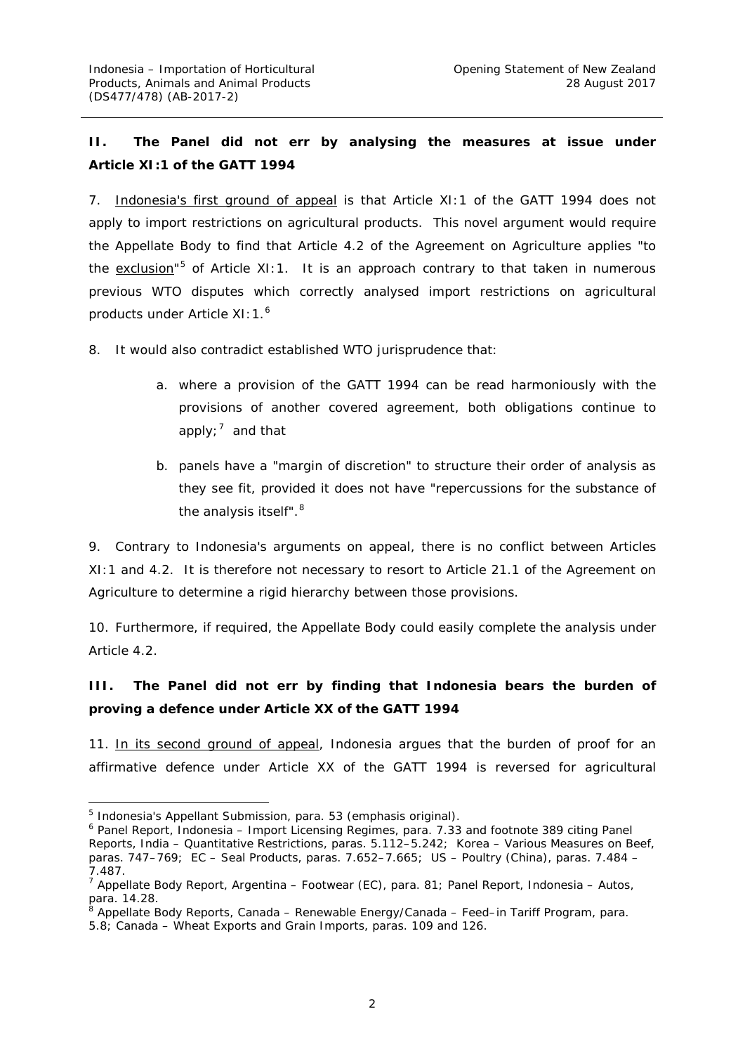## *II. The Panel did not err by analysing the measures at issue under Article XI:1 of the GATT 1994*

7. Indonesia's first ground of appeal is that Article XI:1 of the GATT 1994 does not apply to import restrictions *on agricultural products*. This novel argument would require the Appellate Body to find that Article 4.2 of the Agreement on Agriculture applies "to the exclusion"<sup>[5](#page-2-0)</sup> of Article XI:1. It is an approach contrary to that taken in numerous previous WTO disputes which correctly analysed import restrictions on agricultural products under Article XI: 1.<sup>[6](#page-2-1)</sup>

8. It would also contradict established WTO jurisprudence that:

- a. where a provision of the GATT 1994 can be read harmoniously with the provisions of another covered agreement, both obligations continue to apply;<sup>[7](#page-2-2)</sup> and that
- b. panels have a "margin of discretion" to structure their order of analysis as they see fit, provided it does not have "repercussions for the substance of the analysis itself".<sup>[8](#page-2-3)</sup>

9. Contrary to Indonesia's arguments on appeal, there is no conflict between Articles XI:1 and 4.2. It is therefore not necessary to resort to Article 21.1 of the Agreement on Agriculture to determine a rigid hierarchy between those provisions.

10. Furthermore, if required, the Appellate Body could easily complete the analysis under Article 4.2.

### **III.** The Panel did not err by finding that Indonesia bears the burden of *proving a defence under Article XX of the GATT 1994*

11. In its second ground of appeal, Indonesia argues that the burden of proof for an affirmative defence under Article XX of the GATT 1994 is *reversed* for agricultural

<span id="page-2-0"></span><sup>&</sup>lt;sup>5</sup> Indonesia's Appellant Submission, para. 53 (emphasis original).

<span id="page-2-1"></span><sup>6</sup> Panel Report, *Indonesia – Import Licensing Regimes*, para. 7.33 and footnote 389 citing Panel Reports, *India – Quantitative Restrictions*, paras. 5.112–5.242; *Korea – Various Measures on Beef*, paras. 747–769; *EC – Seal Products*, paras. 7.652–7.665; *US – Poultry (China)*, paras. 7.484 – 7.487.

<span id="page-2-2"></span><sup>7</sup> Appellate Body Report, *Argentina – Footwear (EC)*, para. 81; Panel Report, *Indonesia – Autos*, para. 14.28.

<sup>8</sup> Appellate Body Reports, *Canada – Renewable Energy/Canada – Feed–in Tariff Program,* para.

<span id="page-2-3"></span><sup>5.8;</sup> *Canada – Wheat Exports and Grain Imports*, paras. 109 and 126.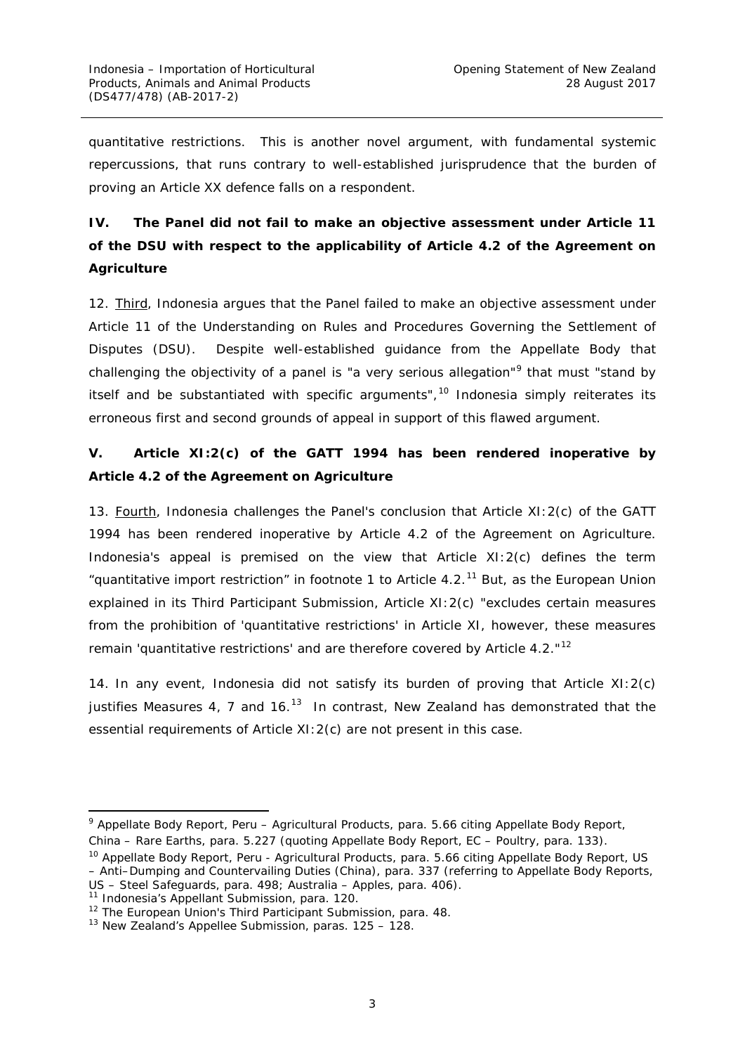quantitative restrictions. This is another novel argument, with fundamental systemic repercussions, that runs contrary to well-established jurisprudence that the burden of proving an Article XX defence falls on a respondent.

# *IV. The Panel did not fail to make an objective assessment under Article 11 of the DSU with respect to the applicability of Article 4.2 of the Agreement on Agriculture*

12. Third, Indonesia argues that the Panel failed to make an objective assessment under Article 11 of the *Understanding on Rules and Procedures Governing the Settlement of Disputes* (DSU). Despite well-established guidance from the Appellate Body that challenging the objectivity of a panel is "a very serious allegation"<sup>[9](#page-3-0)</sup> that must "stand by itself and be substantiated with specific arguments", $10$  Indonesia simply reiterates its erroneous first and second grounds of appeal in support of this flawed argument.

## *V. Article XI:2(c) of the GATT 1994 has been rendered inoperative by Article 4.2 of the Agreement on Agriculture*

13. Fourth, Indonesia challenges the Panel's conclusion that Article XI: 2(c) of the GATT 1994 has been rendered inoperative by Article 4.2 of the Agreement on Agriculture. Indonesia's appeal is premised on the view that Article XI:2(c) defines the term "quantitative import restriction" in footnote 1 to Article 4.2.<sup>[11](#page-3-2)</sup> But, as the European Union explained in its Third Participant Submission, Article XI:2(c) "excludes certain measures from the prohibition of 'quantitative restrictions' in Article XI, however, these measures remain 'quantitative restrictions' and are therefore covered by Article 4.2."[12](#page-3-3)

14. In any event, Indonesia did not satisfy its burden of proving that Article XI:2(c) justifies Measures 4, 7 and  $16^{13}$  $16^{13}$  $16^{13}$  In contrast, New Zealand has demonstrated that the essential requirements of Article XI:2(c) are not present in this case.

<span id="page-3-0"></span> <sup>9</sup> Appellate Body Report, *Peru – Agricultural Products*, para. 5.66 citing Appellate Body Report, *China – Rare Earths*, para. 5.227 (quoting Appellate Body Report, *EC – Poultry*, para. 133).

<span id="page-3-1"></span><sup>10</sup> Appellate Body Report, *Peru - Agricultural Products*, para. 5.66 citing Appellate Body Report, *US – Anti–Dumping and Countervailing Duties (China)*, para. 337 (referring to Appellate Body Reports, *US – Steel Safeguards*, para. 498; *Australia – Apples*, para. 406). 11 Indonesia's Appellant Submission, para. 120.

<span id="page-3-2"></span>

<span id="page-3-3"></span><sup>&</sup>lt;sup>12</sup> The European Union's Third Participant Submission, para. 48.

<span id="page-3-4"></span><sup>&</sup>lt;sup>13</sup> New Zealand's Appellee Submission, paras. 125 - 128.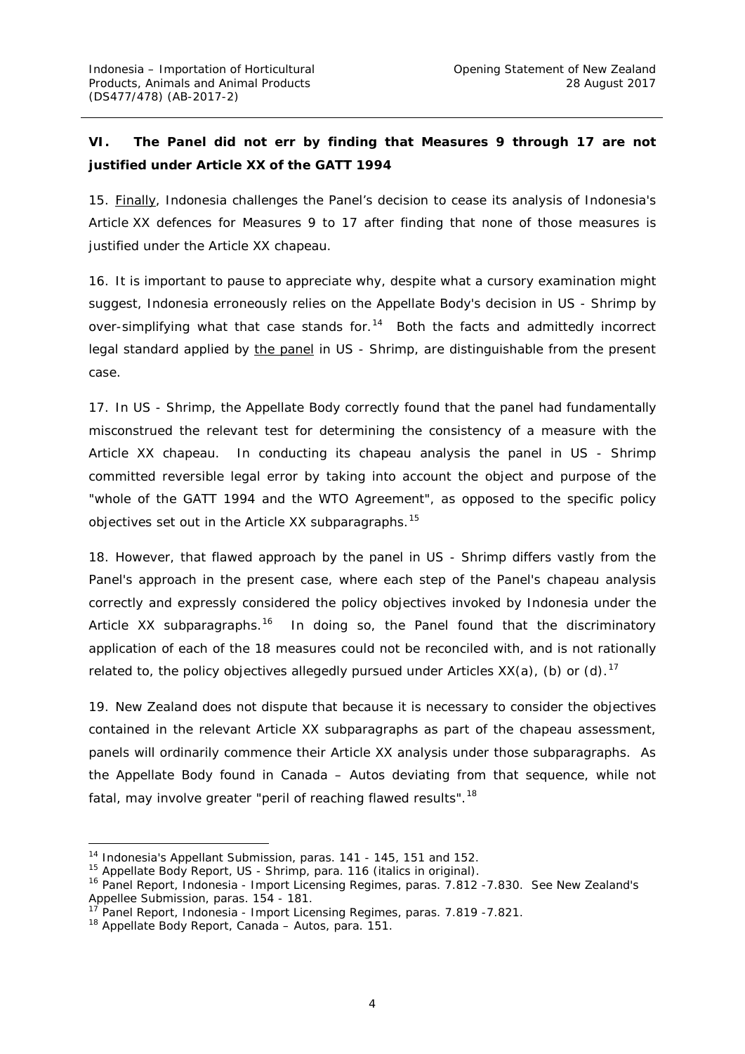# *VI. The Panel did not err by finding that Measures 9 through 17 are not justified under Article XX of the GATT 1994*

15. Finally, Indonesia challenges the Panel's decision to cease its analysis of Indonesia's Article XX defences for Measures 9 to 17 after finding that none of those measures is justified under the Article XX *chapeau*.

16. It is important to pause to appreciate why, despite what a cursory examination might suggest, Indonesia erroneously relies on the Appellate Body's decision in *US - Shrimp* by over-simplifying what that case stands for. $14$  Both the facts and admittedly incorrect legal standard applied by the panel in *US - Shrimp*, are distinguishable from the present case.

17. In *US - Shrimp,* the Appellate Body correctly found that the panel had fundamentally misconstrued the relevant test for determining the consistency of a measure with the Article XX *chapeau*. In conducting its *chapeau* analysis the panel in *US - Shrimp* committed reversible legal error by taking into account the object and purpose of the "*whole of the GATT 1994 and the WTO Agreement*", as opposed to the specific policy objectives set out in the Article XX subparagraphs.<sup>[15](#page-4-1)</sup>

18. However, that flawed approach by the panel in *US - Shrimp* differs vastly from the Panel's approach in the present case, where each step of the Panel's *chapeau* analysis correctly and expressly considered the policy objectives invoked by Indonesia under the Article XX subparagraphs.<sup>16</sup> In doing so, the Panel found that the discriminatory application of each of the 18 measures could not be reconciled with, and is not rationally related to, the policy objectives allegedly pursued under Articles  $XX(a)$ , (b) or (d).<sup>17</sup>

19. New Zealand does not dispute that because it is necessary to consider the objectives contained in the relevant Article XX subparagraphs as part of the *chapeau* assessment, panels will ordinarily commence their Article XX analysis under those subparagraphs. As the Appellate Body found in *Canada – Autos* deviating from that sequence, while not fatal, may involve greater "peril of reaching flawed results".<sup>[18](#page-4-4)</sup>

<span id="page-4-0"></span> <sup>14</sup> Indonesia's Appellant Submission, paras. 141 - 145, 151 and 152.

<span id="page-4-1"></span><sup>15</sup> Appellate Body Report, *US - Shrimp*, para. 116 (italics in original).

<span id="page-4-2"></span><sup>16</sup> Panel Report, *Indonesia - Import Licensing Regimes*, paras. 7.812 -7.830. See New Zealand's Appellee Submission, paras. 154 - 181.

<sup>17</sup> Panel Report, *Indonesia - Import Licensing Regimes*, paras. 7.819 -7.821.

<span id="page-4-4"></span><span id="page-4-3"></span><sup>18</sup> Appellate Body Report, *Canada – Autos,* para. 151.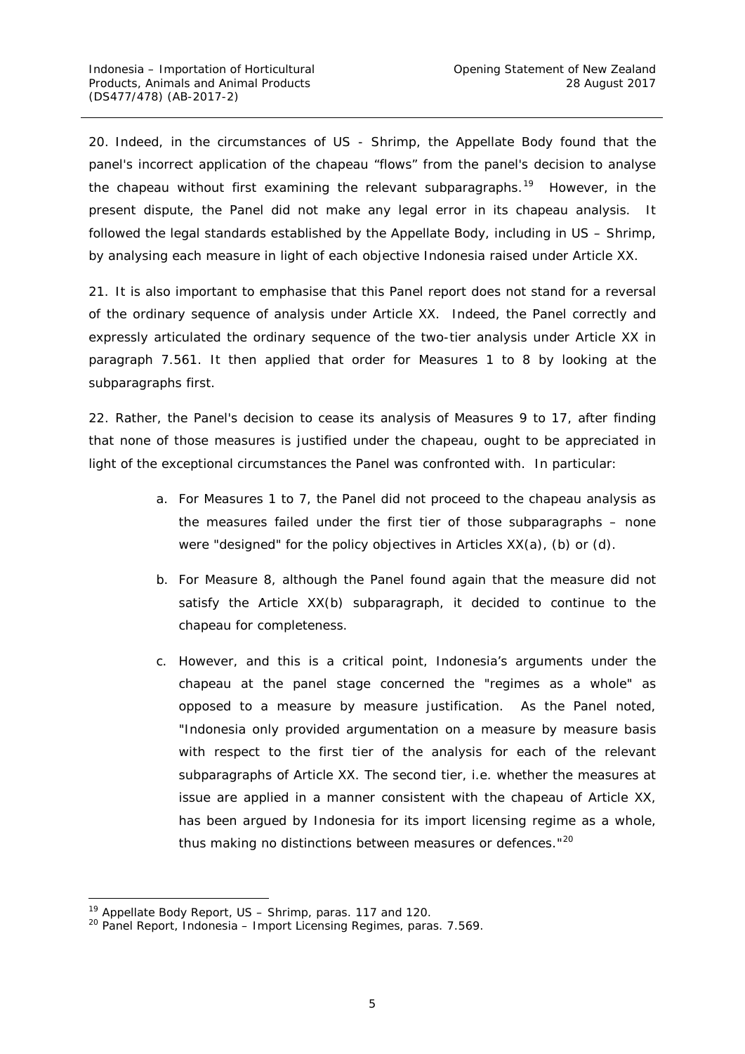20. Indeed, in the circumstances of *US - Shrimp*, the Appellate Body found that the panel's incorrect application of the chapeau "flows" from the panel's decision to analyse the *chapeau* without first examining the relevant subparagraphs.<sup>[19](#page-5-0)</sup> However, in the present dispute, the Panel did not make any legal error in its *chapeau* analysis. It followed the legal standards established by the Appellate Body, including in *US – Shrimp,* by analysing each measure in light of each objective Indonesia raised under Article XX.

21. It is also important to emphasise that this Panel report does not stand for a reversal of the ordinary sequence of analysis under Article XX. Indeed, the Panel correctly and expressly articulated the ordinary sequence of the two-tier analysis under Article XX in paragraph 7.561. It then applied that order for Measures 1 to 8 by looking at the subparagraphs first.

22. Rather, the Panel's decision to cease its analysis of Measures 9 to 17, after finding that none of those measures is justified under the *chapeau*, ought to be appreciated in light of the exceptional circumstances the Panel was confronted with. In particular:

- a. For Measures 1 to 7, the Panel did not proceed to the *chapeau* analysis as the measures failed under the first tier of those subparagraphs *–* none were "designed" for the policy objectives in Articles XX(a), (b) or (d).
- b. For Measure 8, although the Panel found again that the measure did not satisfy the Article XX(b) subparagraph, it decided to continue to the *chapeau* for completeness.
- c. However, and this is a critical point, Indonesia's arguments under the *chapeau* at the panel stage concerned the "regimes as a whole" as opposed to a measure by measure justification. As the Panel noted, "Indonesia only provided argumentation on a measure by measure basis with respect to the first tier of the analysis for each of the relevant subparagraphs of Article XX. The second tier, i.e. whether the measures at issue are applied in a manner consistent with the *chapeau* of Article XX, has been argued by Indonesia for its import licensing regime as a whole, thus making no distinctions between measures or defences."<sup>[20](#page-5-1)</sup>

<span id="page-5-0"></span> <sup>19</sup> Appellate Body Report, *US – Shrimp*, paras. 117 and 120.

<span id="page-5-1"></span><sup>20</sup> Panel Report, *Indonesia – Import Licensing Regimes*, paras. 7.569.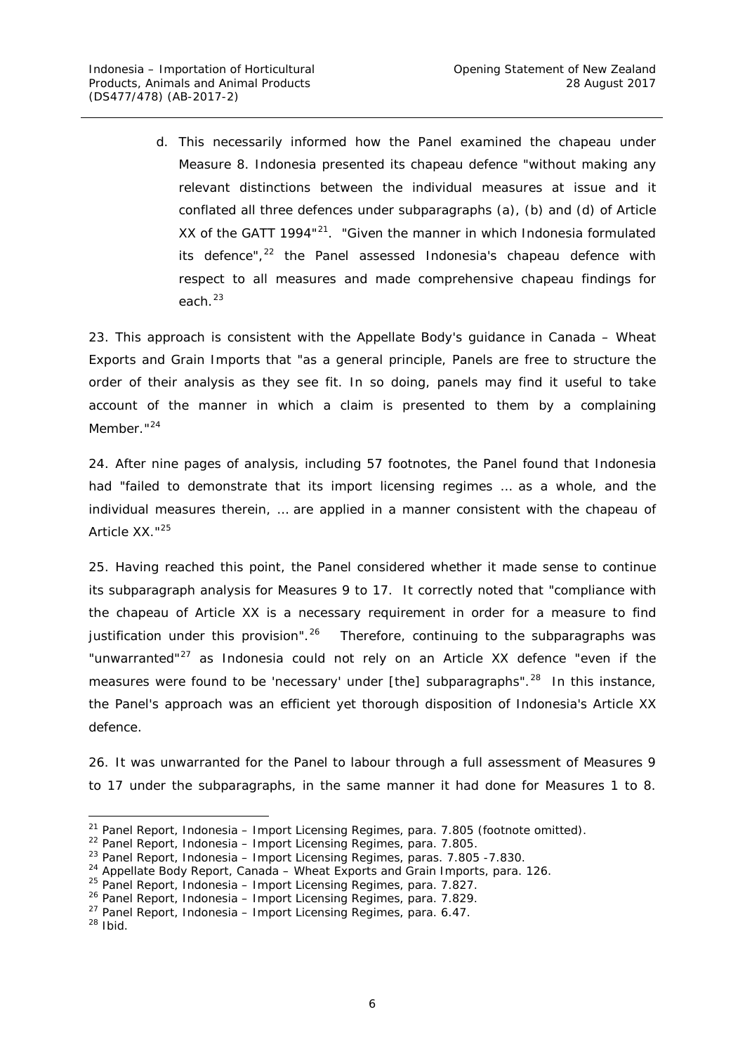d. This necessarily informed how the Panel examined the *chapeau* under Measure 8. Indonesia presented its chapeau defence "without making any relevant distinctions between the individual measures at issue and it conflated all three defences under subparagraphs (a), (b) and (d) of Article XX of the GATT 1994<sup>"[21](#page-6-0)</sup>. "Given the manner in which Indonesia formulated its defence", [22](#page-6-1) the Panel assessed Indonesia's *chapeau* defence with respect to all measures and made comprehensive *chapeau* findings for each. [23](#page-6-2)

23. This approach is consistent with the Appellate Body's guidance in *Canada – Wheat Exports and Grain Imports* that "as a general principle, Panels are free to structure the order of their analysis as they see fit. In so doing, panels may find it useful to take account of the manner in which a claim is presented to them by a complaining Member."<sup>[24](#page-6-3)</sup>

24. After nine pages of analysis, including 57 footnotes, the Panel found that Indonesia had "failed to demonstrate that its import licensing regimes … as a whole, and the individual measures therein, … are applied in a manner consistent with the *chapeau* of Article XX<sup>"[25](#page-6-4)</sup>

25. Having reached this point, the Panel considered whether it made sense to continue its subparagraph analysis for Measures 9 to 17. It correctly noted that "compliance with the *chapeau* of Article XX is a necessary requirement in order for a measure to find justification under this provision".<sup>26</sup> Therefore, continuing to the subparagraphs was "unwarranted"<sup>[27](#page-6-6)</sup> as Indonesia could not rely on an Article XX defence "even if the measures were found to be 'necessary' under [the] subparagraphs".<sup>[28](#page-6-7)</sup> In this instance, the Panel's approach was an efficient yet thorough disposition of Indonesia's Article XX defence.

26. It was unwarranted for the Panel to labour through a full assessment of Measures 9 to 17 under the subparagraphs, in the same manner it had done for Measures 1 to 8.

<span id="page-6-4"></span><sup>25</sup> Panel Report, *Indonesia – Import Licensing Regimes*, para. 7.827.

<span id="page-6-7"></span><span id="page-6-6"></span> $28$  Ibid.

<span id="page-6-0"></span> <sup>21</sup> Panel Report, *Indonesia – Import Licensing Regimes*, para. 7.805 (footnote omitted).

<sup>22</sup> Panel Report, *Indonesia – Import Licensing Regimes*, para. 7.805.

<span id="page-6-3"></span><span id="page-6-2"></span><span id="page-6-1"></span><sup>23</sup> Panel Report, *Indonesia – Import Licensing Regimes*, paras. 7.805 -7.830.

<sup>24</sup> Appellate Body Report, *Canada – Wheat Exports and Grain Imports*, para. 126.

<span id="page-6-5"></span><sup>26</sup> Panel Report, *Indonesia – Import Licensing Regimes*, para. 7.829.

<sup>27</sup> Panel Report, *Indonesia – Import Licensing Regimes*, para. 6.47.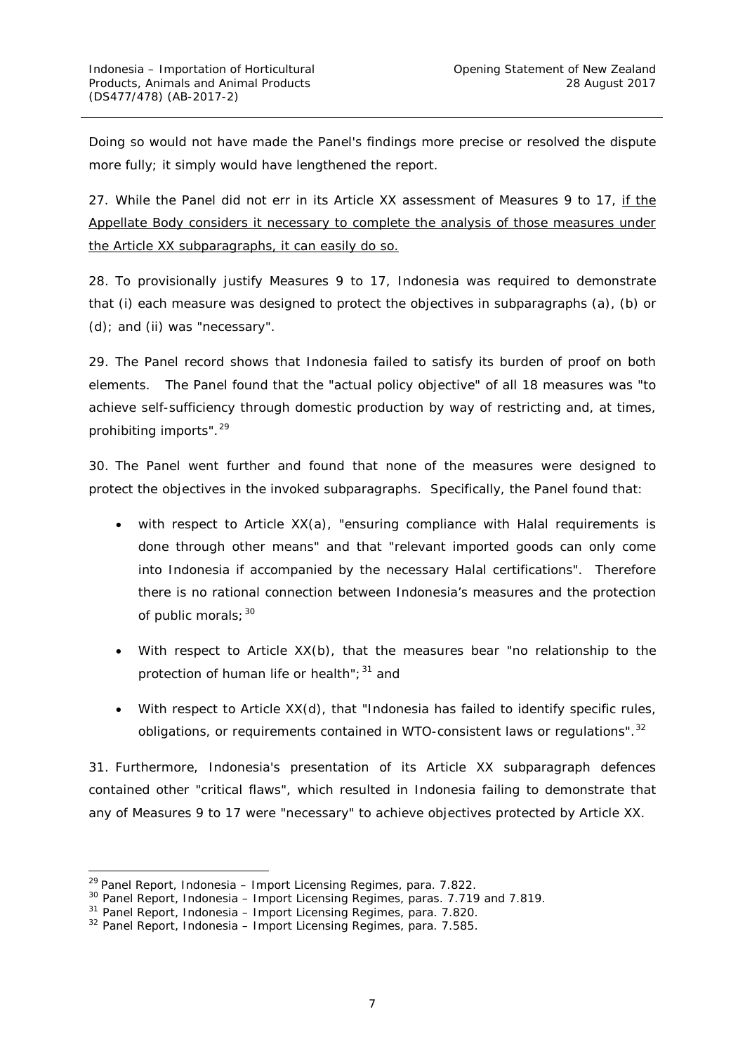Doing so would not have made the Panel's findings more precise or resolved the dispute more fully; it simply would have lengthened the report.

27. While the Panel did not err in its Article XX assessment of Measures 9 to 17, if the Appellate Body considers it necessary to complete the analysis of those measures under the Article XX subparagraphs, it can easily do so.

28. To provisionally justify Measures 9 to 17, Indonesia was required to demonstrate that (i) each measure was designed to protect the objectives in subparagraphs (a), (b) or (d); and (ii) was "necessary".

29. The Panel record shows that Indonesia failed to satisfy its burden of proof on both elements. The Panel found that the "actual policy objective" of all 18 measures was "to achieve self-sufficiency through domestic production by way of restricting and, at times, prohibiting imports". [29](#page-7-0)

30. The Panel went further and found that none of the measures were designed to protect the objectives in the invoked subparagraphs. Specifically, the Panel found that:

- with respect to Article  $XX(a)$ , "ensuring compliance with Halal requirements is done through other means" and that "relevant imported goods can only come into Indonesia if accompanied by the necessary Halal certifications". Therefore there is no rational connection between Indonesia's measures and the protection of public morals; [30](#page-7-1)
- With respect to Article XX(b), that the measures bear "no relationship to the protection of human life or health";  $31$  and
- With respect to Article XX(d), that "Indonesia has failed to identify specific rules, obligations, or requirements contained in WTO-consistent laws or regulations".<sup>[32](#page-7-3)</sup>

31. Furthermore, Indonesia's presentation of its Article XX subparagraph defences contained other "critical flaws", which resulted in Indonesia failing to demonstrate that any of Measures 9 to 17 were "necessary" to achieve objectives protected by Article XX.

<span id="page-7-0"></span> <sup>29</sup> Panel Report, *Indonesia – Import Licensing Regimes*, para. 7.822.

<span id="page-7-1"></span><sup>30</sup> Panel Report, *Indonesia – Import Licensing Regimes*, paras. 7.719 and 7.819.

<span id="page-7-2"></span><sup>31</sup> Panel Report, *Indonesia – Import Licensing Regimes*, para. 7.820.

<span id="page-7-3"></span><sup>32</sup> Panel Report, *Indonesia – Import Licensing Regimes*, para. 7.585.